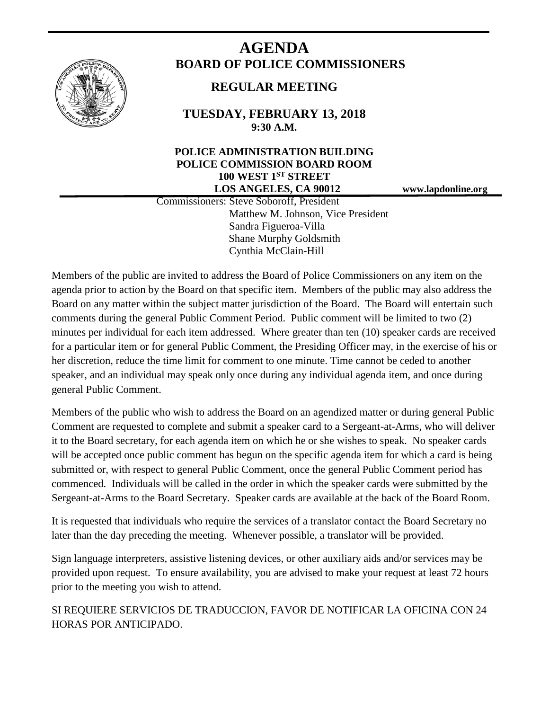

# **AGENDA BOARD OF POLICE COMMISSIONERS**

## **REGULAR MEETING**

**TUESDAY, FEBRUARY 13, 2018 9:30 A.M.**

### **POLICE ADMINISTRATION BUILDING POLICE COMMISSION BOARD ROOM 100 WEST 1ST STREET LOS ANGELES, CA 90012 www.lapdonline.org**

 Commissioners: Steve Soboroff, President Matthew M. Johnson, Vice President Sandra Figueroa-Villa Shane Murphy Goldsmith Cynthia McClain-Hill

Members of the public are invited to address the Board of Police Commissioners on any item on the agenda prior to action by the Board on that specific item. Members of the public may also address the Board on any matter within the subject matter jurisdiction of the Board. The Board will entertain such comments during the general Public Comment Period. Public comment will be limited to two (2) minutes per individual for each item addressed. Where greater than ten (10) speaker cards are received for a particular item or for general Public Comment, the Presiding Officer may, in the exercise of his or her discretion, reduce the time limit for comment to one minute. Time cannot be ceded to another speaker, and an individual may speak only once during any individual agenda item, and once during general Public Comment.

Members of the public who wish to address the Board on an agendized matter or during general Public Comment are requested to complete and submit a speaker card to a Sergeant-at-Arms, who will deliver it to the Board secretary, for each agenda item on which he or she wishes to speak. No speaker cards will be accepted once public comment has begun on the specific agenda item for which a card is being submitted or, with respect to general Public Comment, once the general Public Comment period has commenced. Individuals will be called in the order in which the speaker cards were submitted by the Sergeant-at-Arms to the Board Secretary. Speaker cards are available at the back of the Board Room.

It is requested that individuals who require the services of a translator contact the Board Secretary no later than the day preceding the meeting. Whenever possible, a translator will be provided.

Sign language interpreters, assistive listening devices, or other auxiliary aids and/or services may be provided upon request. To ensure availability, you are advised to make your request at least 72 hours prior to the meeting you wish to attend.

SI REQUIERE SERVICIOS DE TRADUCCION, FAVOR DE NOTIFICAR LA OFICINA CON 24 HORAS POR ANTICIPADO.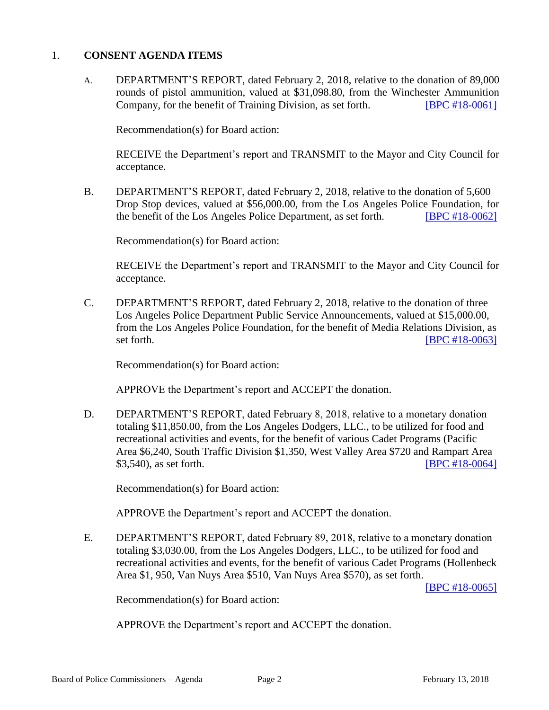#### 1. **CONSENT AGENDA ITEMS**

A. DEPARTMENT'S REPORT, dated February 2, 2018, relative to the donation of 89,000 rounds of pistol ammunition, valued at \$31,098.80, from the Winchester Ammunition Company, for the benefit of Training Division, as set forth. **[\[BPC #18-0061\]](http://www.lapdpolicecom.lacity.org/021318/BPC_18-0061.pdf)** 

Recommendation(s) for Board action:

RECEIVE the Department's report and TRANSMIT to the Mayor and City Council for acceptance.

B. DEPARTMENT'S REPORT, dated February 2, 2018, relative to the donation of 5,600 Drop Stop devices, valued at \$56,000.00, from the Los Angeles Police Foundation, for the benefit of the Los Angeles Police Department, as set forth. **[\[BPC #18-0062\]](http://www.lapdpolicecom.lacity.org/021318/BPC_18-0062.pdf)** 

Recommendation(s) for Board action:

RECEIVE the Department's report and TRANSMIT to the Mayor and City Council for acceptance.

C. DEPARTMENT'S REPORT, dated February 2, 2018, relative to the donation of three Los Angeles Police Department Public Service Announcements, valued at \$15,000.00, from the Los Angeles Police Foundation, for the benefit of Media Relations Division, as set forth.  $[BPC #18-0063]$ 

Recommendation(s) for Board action:

APPROVE the Department's report and ACCEPT the donation.

D. DEPARTMENT'S REPORT, dated February 8, 2018, relative to a monetary donation totaling \$11,850.00, from the Los Angeles Dodgers, LLC., to be utilized for food and recreational activities and events, for the benefit of various Cadet Programs (Pacific Area \$6,240, South Traffic Division \$1,350, West Valley Area \$720 and Rampart Area \$3,540), as set forth. **[\[BPC #18-0064\]](http://www.lapdpolicecom.lacity.org/021318/BPC_18-0064.pdf)** 

Recommendation(s) for Board action:

APPROVE the Department's report and ACCEPT the donation.

E. DEPARTMENT'S REPORT, dated February 89, 2018, relative to a monetary donation totaling \$3,030.00, from the Los Angeles Dodgers, LLC., to be utilized for food and recreational activities and events, for the benefit of various Cadet Programs (Hollenbeck Area \$1, 950, Van Nuys Area \$510, Van Nuys Area \$570), as set forth.

[\[BPC #18-0065\]](http://www.lapdpolicecom.lacity.org/021318/BPC_18-0065.pdf)

Recommendation(s) for Board action:

APPROVE the Department's report and ACCEPT the donation.